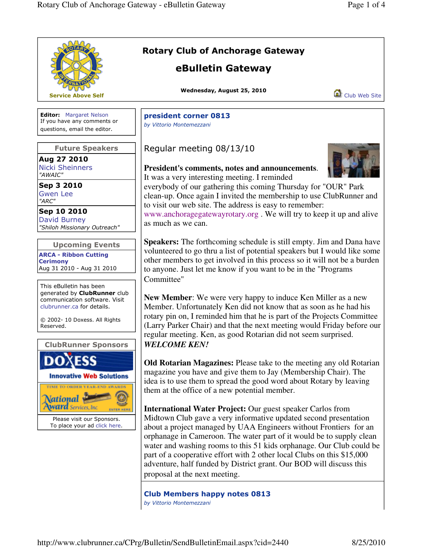|                                                                                                                                                                                  | <b>Rotary Club of Anchorage Gateway</b><br>eBulletin Gateway                                                                                                                                                                                                                                                                                                                                                                                                                                                                                 |
|----------------------------------------------------------------------------------------------------------------------------------------------------------------------------------|----------------------------------------------------------------------------------------------------------------------------------------------------------------------------------------------------------------------------------------------------------------------------------------------------------------------------------------------------------------------------------------------------------------------------------------------------------------------------------------------------------------------------------------------|
| <b>Service Above Self</b>                                                                                                                                                        | Wednesday, August 25, 2010<br>Club Web Site                                                                                                                                                                                                                                                                                                                                                                                                                                                                                                  |
| <b>Editor:</b> Margaret Nelson<br>If you have any comments or<br>questions, email the editor.                                                                                    | president corner 0813<br>by Vittorio Montemezzani                                                                                                                                                                                                                                                                                                                                                                                                                                                                                            |
| <b>Future Speakers</b><br>Aug 27 2010<br><b>Nicki Sheinners</b><br>"AWAIC"                                                                                                       | Regular meeting 08/13/10<br>President's comments, notes and announcements.<br>It was a very interesting meeting. I reminded                                                                                                                                                                                                                                                                                                                                                                                                                  |
| Sep 3 2010<br><b>Gwen Lee</b><br>"ARC"<br>Sep 10 2010                                                                                                                            | everybody of our gathering this coming Thursday for "OUR" Park<br>clean-up. Once again I invited the membership to use ClubRunner and<br>to visit our web site. The address is easy to remember:<br>www.anchoragegatewayrotary.org. We will try to keep it up and alive                                                                                                                                                                                                                                                                      |
| David Burney<br>"Shiloh Missionary Outreach"<br><b>Upcoming Events</b>                                                                                                           | as much as we can.<br><b>Speakers:</b> The forthcoming schedule is still empty. Jim and Dana have                                                                                                                                                                                                                                                                                                                                                                                                                                            |
| <b>ARCA - Ribbon Cutting</b><br><b>Cerimony</b><br>Aug 31 2010 - Aug 31 2010                                                                                                     | volunteered to go thru a list of potential speakers but I would like some<br>other members to get involved in this process so it will not be a burden<br>to anyone. Just let me know if you want to be in the "Programs<br>Committee"                                                                                                                                                                                                                                                                                                        |
| This eBulletin has been<br>generated by ClubRunner club<br>communication software. Visit<br>clubrunner.ca for details.<br>© 2002- 10 Doxess. All Rights<br>Reserved.             | <b>New Member:</b> We were very happy to induce Ken Miller as a new<br>Member. Unfortunately Ken did not know that as soon as he had his<br>rotary pin on, I reminded him that he is part of the Projects Committee<br>(Larry Parker Chair) and that the next meeting would Friday before our                                                                                                                                                                                                                                                |
| <b>ClubRunner Sponsors</b>                                                                                                                                                       | regular meeting. Ken, as good Rotarian did not seem surprised.<br><b>WELCOME KEN!</b>                                                                                                                                                                                                                                                                                                                                                                                                                                                        |
| <b>Innovative Web Solutions</b><br>TIME TO ORDER YEAR-END AWARDS<br><b>National</b><br><b>Award</b> Services, Inc.<br>Please visit our Sponsors.<br>To place your ad click here. | Old Rotarian Magazines: Please take to the meeting any old Rotarian<br>magazine you have and give them to Jay (Membership Chair). The<br>idea is to use them to spread the good word about Rotary by leaving<br>them at the office of a new potential member.                                                                                                                                                                                                                                                                                |
|                                                                                                                                                                                  | <b>International Water Project:</b> Our guest speaker Carlos from<br>Midtown Club gave a very informative updated second presentation<br>about a project managed by UAA Engineers without Frontiers for an<br>orphanage in Cameroon. The water part of it would be to supply clean<br>water and washing rooms to this 51 kids orphanage. Our Club could be<br>part of a cooperative effort with 2 other local Clubs on this \$15,000<br>adventure, half funded by District grant. Our BOD will discuss this<br>proposal at the next meeting. |
|                                                                                                                                                                                  | <b>Club Members happy notes 0813</b><br>by Vittorio Montemezzani                                                                                                                                                                                                                                                                                                                                                                                                                                                                             |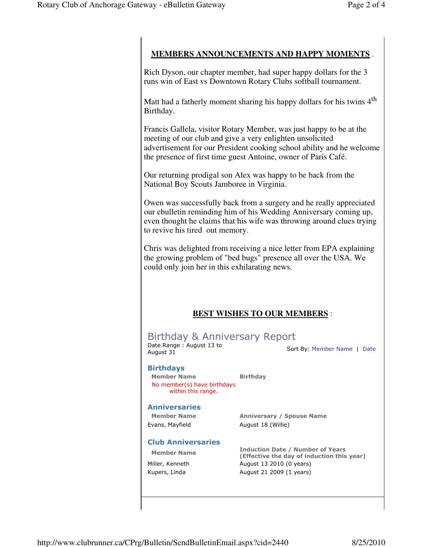## **MEMBERS ANNOUNCEMENTS AND HAPPY MOMENTS** .

Rich Dyson, our chapter member, had super happy dollars for the 3 runs win of East vs Downtown Rotary Clubs softball tournament.

Matt had a fatherly moment sharing his happy dollars for his twins 4<sup>th</sup> Birthday.

Francis Gallela, visitor Rotary Member, was just happy to be at the meeting of our club and give a very enlighten unsolicited advertisement for our President cooking school ability and he welcome the presence of first time guest Antoine, owner of Paris Café.

Our returning prodigal son Alex was happy to be back from the National Boy Scouts Jamboree in Virginia.

Owen was successfully back from a surgery and he really appreciated our ebulletin reminding him of his Wedding Anniversary coming up, even thought he claims that his wife was throwing around clues trying to revive his tired out memory.

Chris was delighted from receiving a nice letter from EPA explaining the growing problem of "bed bugs" presence all over the USA. We could only join her in this exhilarating news.

## **BEST WISHES TO OUR MEMBERS** :

# Birthday & Anniversary Report

Date Range : August 13 to Date Range : August 15 to<br>August 31 Sort By: Member Name | Date

#### Birthdays

Member Name Birthday No member(s) have birthdays within this range.

#### **Anniversaries**

Evans, Mayfield August 18 (Willie)

Member Name Anniversary / Spouse Name

#### Club Anniversaries

Member Name **Induction Date / Number of Years** (Effective the day of induction this year) Miller, Kenneth **August 13 2010 (0 years)** Kupers, Linda **August 21 2009 (1 years)**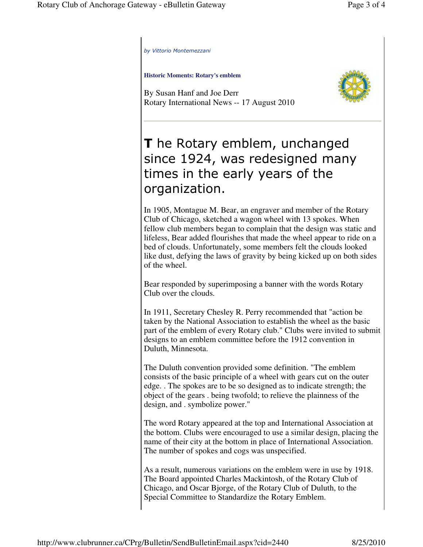by Vittorio Montemezzani

**Historic Moments: Rotary's emblem**

By Susan Hanf and Joe Derr Rotary International News -- 17 August 2010



# **T** he Rotary emblem, unchanged since 1924, was redesigned many times in the early years of the organization.

In 1905, Montague M. Bear, an engraver and member of the Rotary Club of Chicago, sketched a wagon wheel with 13 spokes. When fellow club members began to complain that the design was static and lifeless, Bear added flourishes that made the wheel appear to ride on a bed of clouds. Unfortunately, some members felt the clouds looked like dust, defying the laws of gravity by being kicked up on both sides of the wheel.

Bear responded by superimposing a banner with the words Rotary Club over the clouds.

In 1911, Secretary Chesley R. Perry recommended that "action be taken by the National Association to establish the wheel as the basic part of the emblem of every Rotary club." Clubs were invited to submit designs to an emblem committee before the 1912 convention in Duluth, Minnesota.

The Duluth convention provided some definition. "The emblem consists of the basic principle of a wheel with gears cut on the outer edge. . The spokes are to be so designed as to indicate strength; the object of the gears . being twofold; to relieve the plainness of the design, and . symbolize power."

The word Rotary appeared at the top and International Association at the bottom. Clubs were encouraged to use a similar design, placing the name of their city at the bottom in place of International Association. The number of spokes and cogs was unspecified.

As a result, numerous variations on the emblem were in use by 1918. The Board appointed Charles Mackintosh, of the Rotary Club of Chicago, and Oscar Bjorge, of the Rotary Club of Duluth, to the Special Committee to Standardize the Rotary Emblem.